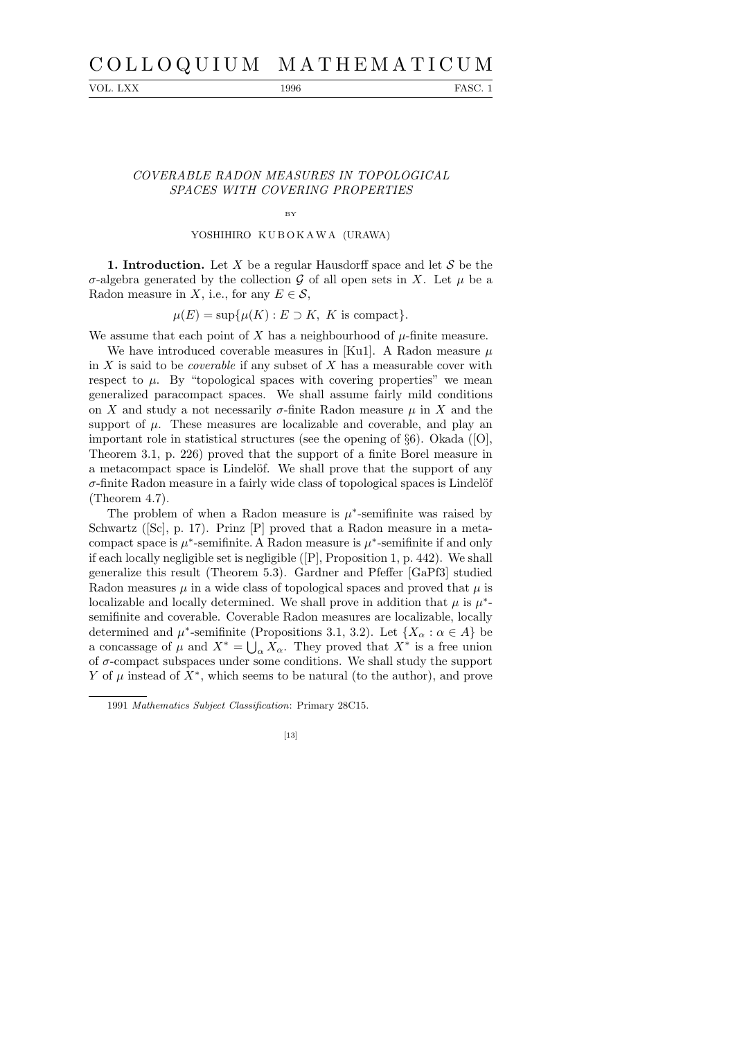# C O L L O Q U I U M M A T H E M A T I C U M

VOL. LXX 1996 FASC. 1

## COVERABLE RADON MEASURES IN TOPOLOGICAL SPACES WITH COVERING PROPERTIES

BY

## YOSHIHIRO KUBOKAWA (URAWA)

**1. Introduction.** Let X be a regular Hausdorff space and let  $S$  be the σ-algebra generated by the collection  $G$  of all open sets in X. Let  $\mu$  be a Radon measure in X, i.e., for any  $E \in \mathcal{S}$ ,

 $\mu(E) = \sup \{ \mu(K) : E \supset K, K \text{ is compact} \}.$ 

We assume that each point of X has a neighbourhood of  $\mu$ -finite measure.

We have introduced coverable measures in [Ku1]. A Radon measure  $\mu$ in  $X$  is said to be *coverable* if any subset of  $X$  has a measurable cover with respect to  $\mu$ . By "topological spaces with covering properties" we mean generalized paracompact spaces. We shall assume fairly mild conditions on X and study a not necessarily  $\sigma$ -finite Radon measure  $\mu$  in X and the support of  $\mu$ . These measures are localizable and coverable, and play an important role in statistical structures (see the opening of  $\S6$ ). Okada ([O], Theorem 3.1, p. 226) proved that the support of a finite Borel measure in a metacompact space is Lindelöf. We shall prove that the support of any  $\sigma$ -finite Radon measure in a fairly wide class of topological spaces is Lindelöf (Theorem 4.7).

The problem of when a Radon measure is  $\mu^*$ -semifinite was raised by Schwartz ([Sc], p. 17). Prinz [P] proved that a Radon measure in a metacompact space is  $\mu^*$ -semifinite. A Radon measure is  $\mu^*$ -semifinite if and only if each locally negligible set is negligible ([P], Proposition 1, p. 442). We shall generalize this result (Theorem 5.3). Gardner and Pfeffer [GaPf3] studied Radon measures  $\mu$  in a wide class of topological spaces and proved that  $\mu$  is localizable and locally determined. We shall prove in addition that  $\mu$  is  $\mu^*$ semifinite and coverable. Coverable Radon measures are localizable, locally determined and  $\mu^*$ -semifinite (Propositions 3.1, 3.2). Let  $\{X_\alpha : \alpha \in A\}$  be a concassage of  $\mu$  and  $X^* = \bigcup_{\alpha} X_{\alpha}$ . They proved that  $X^*$  is a free union of  $\sigma$ -compact subspaces under some conditions. We shall study the support Y of  $\mu$  instead of  $X^*$ , which seems to be natural (to the author), and prove

<sup>1991</sup> *Mathematics Subject Classification*: Primary 28C15.

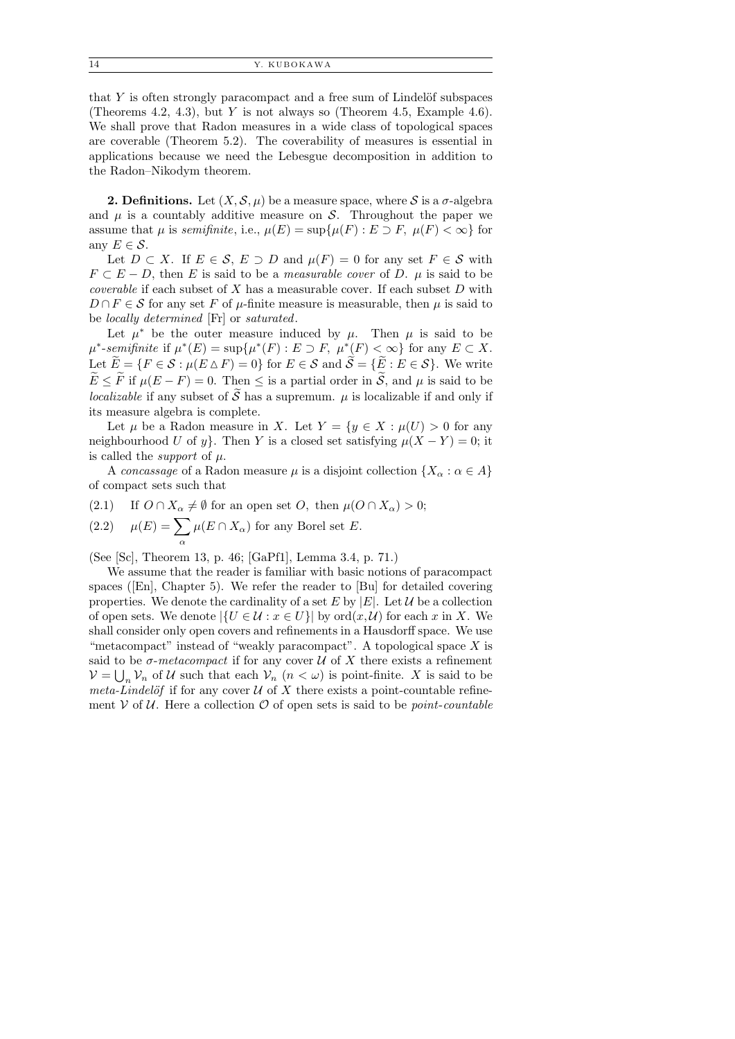14 Y. KUBOKAWA

that  $Y$  is often strongly paracompact and a free sum of Lindelöf subspaces (Theorems 4.2, 4.3), but Y is not always so (Theorem 4.5, Example 4.6). We shall prove that Radon measures in a wide class of topological spaces are coverable (Theorem 5.2). The coverability of measures is essential in applications because we need the Lebesgue decomposition in addition to the Radon–Nikodym theorem.

**2. Definitions.** Let  $(X, \mathcal{S}, \mu)$  be a measure space, where S is a  $\sigma$ -algebra and  $\mu$  is a countably additive measure on S. Throughout the paper we assume that  $\mu$  is *semifinite*, i.e.,  $\mu(E) = \sup \{ \mu(F) : E \supset F, \mu(F) < \infty \}$  for any  $E \in \mathcal{S}$ .

Let  $D \subset X$ . If  $E \in \mathcal{S}$ ,  $E \supset D$  and  $\mu(F) = 0$  for any set  $F \in \mathcal{S}$  with  $F \subset E - D$ , then E is said to be a *measurable cover* of D.  $\mu$  is said to be *coverable* if each subset of  $X$  has a measurable cover. If each subset  $D$  with  $D \cap F \in \mathcal{S}$  for any set F of  $\mu$ -finite measure is measurable, then  $\mu$  is said to be locally determined [Fr] or saturated.

Let  $\mu^*$  be the outer measure induced by  $\mu$ . Then  $\mu$  is said to be  $\mu^*$ -semifinite if  $\mu^*(E) = \sup \{ \mu^*(F) : E \supset F, \mu^*(F) < \infty \}$  for any  $E \subset X$ . Let  $\widetilde{E} = \{F \in \mathcal{S} : \mu(E \triangle F) = 0\}$  for  $E \in \mathcal{S}$  and  $\widetilde{\mathcal{S}} = \{\widetilde{E} : E \in \mathcal{S}\}\)$ . We write  $\widetilde{E} \leq \widetilde{F}$  if  $\mu(E - F) = 0$ . Then  $\leq$  is a partial order in  $\widetilde{S}$ , and  $\mu$  is said to be *localizable* if any subset of  $\widetilde{S}$  has a supremum.  $\mu$  is localizable if and only if its measure algebra is complete.

Let  $\mu$  be a Radon measure in X. Let  $Y = \{y \in X : \mu(U) > 0 \text{ for any }$ neighbourhood U of y}. Then Y is a closed set satisfying  $\mu(X - Y) = 0$ ; it is called the *support* of  $\mu$ .

A concassage of a Radon measure  $\mu$  is a disjoint collection  $\{X_{\alpha} : \alpha \in A\}$ of compact sets such that

(2.1) If  $O \cap X_\alpha \neq \emptyset$  for an open set  $O$ , then  $\mu(O \cap X_\alpha) > 0$ ;

(2.2) 
$$
\mu(E) = \sum_{\alpha} \mu(E \cap X_{\alpha})
$$
 for any Borel set  $E$ .

(See [Sc], Theorem 13, p. 46; [GaPf1], Lemma 3.4, p. 71.)

We assume that the reader is familiar with basic notions of paracompact spaces ([En], Chapter 5). We refer the reader to [Bu] for detailed covering properties. We denote the cardinality of a set E by  $|E|$ . Let U be a collection of open sets. We denote  $|\{U \in \mathcal{U} : x \in U\}|$  by  $\text{ord}(x, \mathcal{U})$  for each x in X. We shall consider only open covers and refinements in a Hausdorff space. We use "metacompact" instead of "weakly paracompact". A topological space  $X$  is said to be  $\sigma$ -metacompact if for any cover  $\mathcal U$  of X there exists a refinement  $\mathcal{V} = \bigcup_n \mathcal{V}_n$  of U such that each  $\mathcal{V}_n$   $(n < \omega)$  is point-finite. X is said to be meta-Lindelöf if for any cover  $U$  of X there exists a point-countable refinement  $V$  of U. Here a collection  $\mathcal O$  of open sets is said to be *point-countable*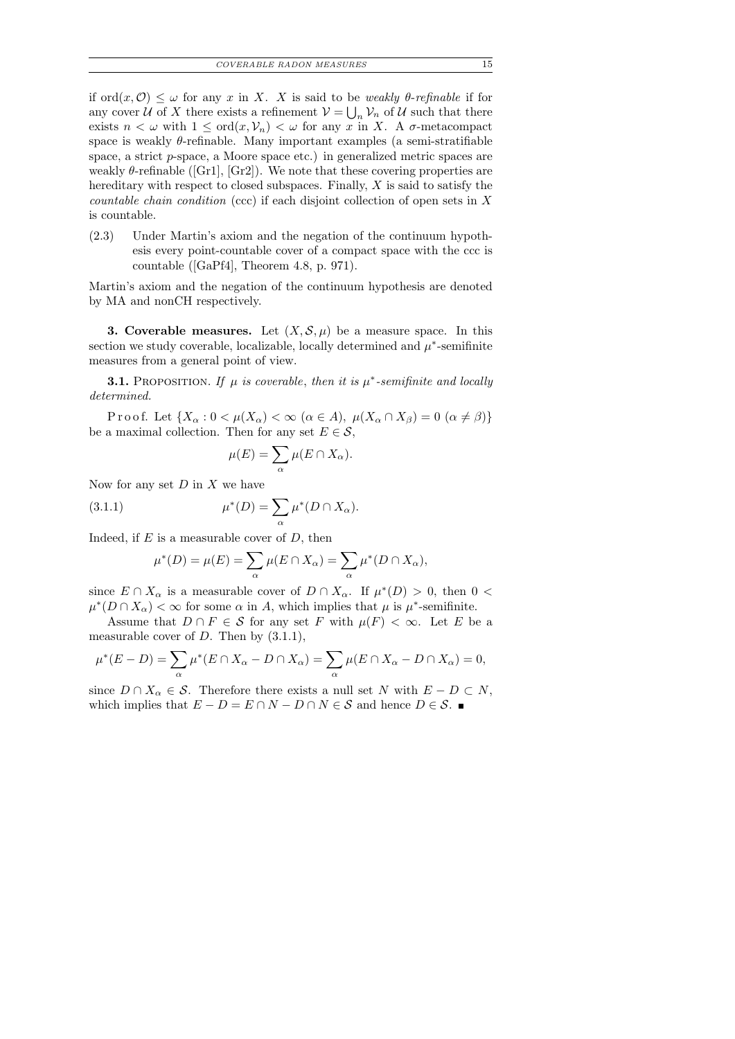if  $\text{ord}(x, \mathcal{O}) \leq \omega$  for any x in X. X is said to be weakly  $\theta$ -refinable if for any cover  $U$  of X there exists a refinement  $V = \bigcup_n V_n$  of U such that there exists  $n < \omega$  with  $1 \leq \text{ord}(x, V_n) < \omega$  for any x in X. A  $\sigma$ -metacompact space is weakly  $\theta$ -refinable. Many important examples (a semi-stratifiable space, a strict p-space, a Moore space etc.) in generalized metric spaces are weakly  $\theta$ -refinable ([Gr1], [Gr2]). We note that these covering properties are hereditary with respect to closed subspaces. Finally,  $X$  is said to satisfy the countable chain condition (ccc) if each disjoint collection of open sets in X is countable.

(2.3) Under Martin's axiom and the negation of the continuum hypothesis every point-countable cover of a compact space with the ccc is countable ([GaPf4], Theorem 4.8, p. 971).

Martin's axiom and the negation of the continuum hypothesis are denoted by MA and nonCH respectively.

**3. Coverable measures.** Let  $(X, \mathcal{S}, \mu)$  be a measure space. In this section we study coverable, localizable, locally determined and  $\mu^*$ -semifinite measures from a general point of view.

**3.1.** PROPOSITION. If  $\mu$  is coverable, then it is  $\mu^*$ -semifinite and locally determined.

Proof. Let  $\{X_\alpha: 0 < \mu(X_\alpha) < \infty \ (\alpha \in A), \ \mu(X_\alpha \cap X_\beta) = 0 \ (\alpha \neq \beta) \}$ be a maximal collection. Then for any set  $E \in \mathcal{S}$ ,

$$
\mu(E) = \sum_{\alpha} \mu(E \cap X_{\alpha}).
$$

Now for any set  $D$  in  $X$  we have

(3.1.1) 
$$
\mu^*(D) = \sum_{\alpha} \mu^*(D \cap X_{\alpha}).
$$

Indeed, if  $E$  is a measurable cover of  $D$ , then

$$
\mu^*(D) = \mu(E) = \sum_{\alpha} \mu(E \cap X_{\alpha}) = \sum_{\alpha} \mu^*(D \cap X_{\alpha}),
$$

since  $E \cap X_\alpha$  is a measurable cover of  $D \cap X_\alpha$ . If  $\mu^*(D) > 0$ , then  $0 <$  $\mu^*(D \cap X_\alpha) < \infty$  for some  $\alpha$  in A, which implies that  $\mu$  is  $\mu^*$ -semifinite.

Assume that  $D \cap F \in \mathcal{S}$  for any set F with  $\mu(F) < \infty$ . Let E be a measurable cover of  $D$ . Then by  $(3.1.1)$ ,

$$
\mu^*(E - D) = \sum_{\alpha} \mu^*(E \cap X_{\alpha} - D \cap X_{\alpha}) = \sum_{\alpha} \mu(E \cap X_{\alpha} - D \cap X_{\alpha}) = 0,
$$

since  $D \cap X_\alpha \in \mathcal{S}$ . Therefore there exists a null set N with  $E - D \subset N$ , which implies that  $E - D = E \cap N - D \cap N \in \mathcal{S}$  and hence  $D \in \mathcal{S}$ .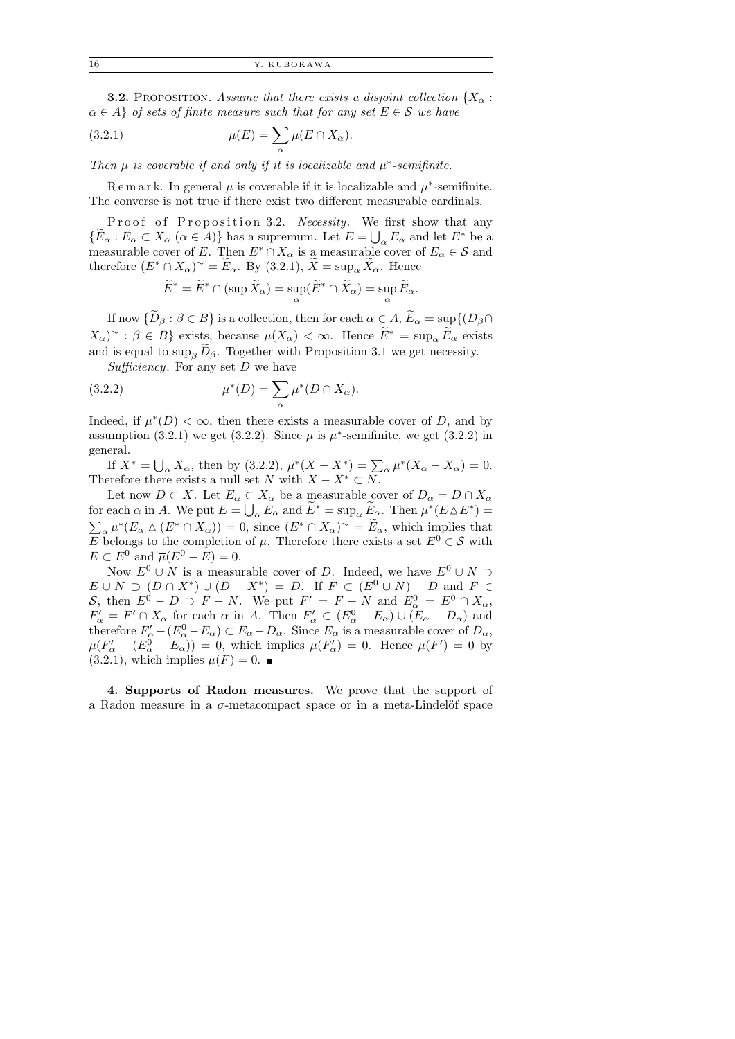**3.2.** PROPOSITION. Assume that there exists a disjoint collection  $\{X_\alpha :$  $\alpha \in A$  of sets of finite measure such that for any set  $E \in \mathcal{S}$  we have

(3.2.1) 
$$
\mu(E) = \sum_{\alpha} \mu(E \cap X_{\alpha}).
$$

Then  $\mu$  is coverable if and only if it is localizable and  $\mu^*$ -semifinite.

Remark. In general  $\mu$  is coverable if it is localizable and  $\mu^*$ -semifinite. The converse is not true if there exist two different measurable cardinals.

Proof of Proposition 3.2. Necessity. We first show that any  $\{\widetilde{E}_{\alpha}: E_{\alpha} \subset X_{\alpha} \ (\alpha \in A)\}\$ has a supremum. Let  $E = \bigcup_{\alpha} E_{\alpha}$  and let  $E^*$  be a measurable cover of E. Then  $E^* \cap X_\alpha$  is a measurable cover of  $E_\alpha \in \mathcal{S}$  and therefore  $(E^* \cap X_\alpha)^\sim = \widetilde{E}_\alpha$ . By (3.2.1),  $\widetilde{X} = \sup_\alpha \widetilde{X}_\alpha$ . Hence

$$
\widetilde{E}^* = \widetilde{E}^* \cap (\sup \widetilde{X}_\alpha) = \sup_{\alpha} (\widetilde{E}^* \cap \widetilde{X}_\alpha) = \sup_{\alpha} \widetilde{E}_\alpha.
$$

If now  $\{\widetilde{D}_{\beta} : \beta \in B\}$  is a collection, then for each  $\alpha \in A$ ,  $\widetilde{E}_{\alpha} = \sup\{(D_{\beta} \cap$  $(X_{\alpha})^{\sim} : \beta \in B$  exists, because  $\mu(X_{\alpha}) < \infty$ . Hence  $E^* = \sup_{\alpha} E_{\alpha}$  exists and is equal to  $\sup_{\beta} \widetilde{D}_{\beta}$ . Together with Proposition 3.1 we get necessity.

Sufficiency. For any set  $D$  we have

(3.2.2) 
$$
\mu^*(D) = \sum_{\alpha} \mu^*(D \cap X_{\alpha}).
$$

Indeed, if  $\mu^*(D) < \infty$ , then there exists a measurable cover of D, and by assumption (3.2.1) we get (3.2.2). Since  $\mu$  is  $\mu^*$ -semifinite, we get (3.2.2) in general.

If  $X^* = \bigcup_{\alpha} X_{\alpha}$ , then by (3.2.2),  $\mu^*(X - X^*) = \sum_{\alpha} \mu^*(X_{\alpha} - X_{\alpha}) = 0$ . Therefore there exists a null set N with  $X - X^* \subset N$ .

Let now  $D \subset X$ . Let  $E_{\alpha} \subset X_{\alpha}$  be a measurable cover of  $D_{\alpha} = D \cap X_{\alpha}$ for each  $\alpha$  in A. We put  $E = \bigcup_{\alpha} E_{\alpha}$  and  $\widetilde{E}^* = \sup_{\alpha} \widetilde{E}_{\alpha}$ . Then  $\mu^*(E \Delta E^*) =$  $\sum_{\alpha} \mu^*(E_{\alpha} \wedge (E^* \cap X_{\alpha})) = 0$ , since  $(E^* \cap X_{\alpha})^{\sim} = \widetilde{E}_{\alpha}$ , which implies that E belongs to the completion of  $\mu$ . Therefore there exists a set  $E^0 \in \mathcal{S}$  with  $E \subset E^0$  and  $\overline{\mu}(E^0 - E) = 0$ .

Now  $E^0 \cup N$  is a measurable cover of D. Indeed, we have  $E^0 \cup N \supset$  $E \cup N \supset (D \cap X^*) \cup (D - X^*) = D$ . If  $F \subset (E^0 \cup N) - D$  and  $F \in$ S, then  $E^0 - D \supset F - N$ . We put  $F' = F - N$  and  $E^0_\alpha = E^0 \cap X_\alpha$ ,  $F'_{\alpha} = F' \cap X_{\alpha}$  for each  $\alpha$  in A. Then  $F'_{\alpha} \subset (E_{\alpha}^0 - E_{\alpha}) \cup (E_{\alpha} - D_{\alpha})$  and therefore  $F'_{\alpha} - (E_{\alpha}^0 - E_{\alpha}) \subset E_{\alpha} - D_{\alpha}$ . Since  $E_{\alpha}$  is a measurable cover of  $D_{\alpha}$ ,  $\mu(F'_\alpha - (E^0_\alpha - E_\alpha)) = 0$ , which implies  $\mu(F'_\alpha) = 0$ . Hence  $\mu(F') = 0$  by  $(3.2.1)$ , which implies  $\mu(F) = 0$ .

4. Supports of Radon measures. We prove that the support of a Radon measure in a  $\sigma$ -metacompact space or in a meta-Lindelöf space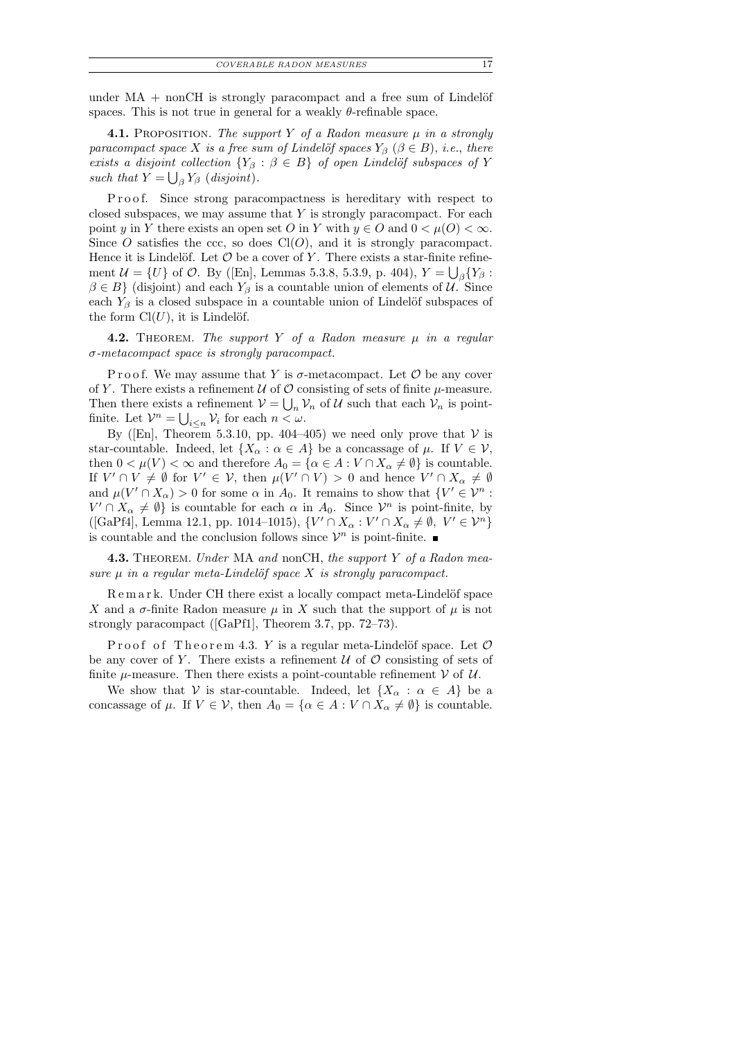under  $MA$  + nonCH is strongly paracompact and a free sum of Lindelöf spaces. This is not true in general for a weakly  $\theta$ -refinable space.

**4.1.** PROPOSITION. The support Y of a Radon measure  $\mu$  in a strongly paracompact space X is a free sum of Lindelöf spaces  $Y_\beta$  ( $\beta \in B$ ), i.e., there exists a disjoint collection  ${Y_\beta : \beta \in B}$  of open Lindelöf subspaces of Y such that  $Y = \bigcup_{\beta} Y_{\beta}$  (disjoint).

Proof. Since strong paracompactness is hereditary with respect to closed subspaces, we may assume that  $Y$  is strongly paracompact. For each point y in Y there exists an open set O in Y with  $y \in O$  and  $0 < \mu(O) < \infty$ . Since O satisfies the ccc, so does  $Cl(O)$ , and it is strongly paracompact. Hence it is Lindelöf. Let  $\mathcal O$  be a cover of Y. There exists a star-finite refinement  $\mathcal{U} = \{U\}$  of  $\mathcal{O}$ . By ([En], Lemmas 5.3.8, 5.3.9, p. 404),  $Y = \bigcup_{\beta} \{Y_{\beta} :$  $\beta \in B$  (disjoint) and each  $Y_{\beta}$  is a countable union of elements of U. Since each  $Y_\beta$  is a closed subspace in a countable union of Lindelöf subspaces of the form  $Cl(U)$ , it is Lindelöf.

**4.2.** THEOREM. The support Y of a Radon measure  $\mu$  in a regular σ-metacompact space is strongly paracompact.

P r o o f. We may assume that Y is  $\sigma$ -metacompact. Let  $\mathcal O$  be any cover of Y. There exists a refinement  $U$  of  $O$  consisting of sets of finite  $\mu$ -measure. Then there exists a refinement  $V = \bigcup_n V_n$  of U such that each  $V_n$  is pointfinite. Let  $\mathcal{V}^n = \bigcup_{i \leq n} \mathcal{V}_i$  for each  $n < \omega$ .

By ([En], Theorem 5.3.10, pp. 404–405) we need only prove that  $V$  is star-countable. Indeed, let  $\{X_\alpha : \alpha \in A\}$  be a concassage of  $\mu$ . If  $V \in \mathcal{V}$ , then  $0 < \mu(V) < \infty$  and therefore  $A_0 = \{ \alpha \in A : V \cap X_\alpha \neq \emptyset \}$  is countable. If  $V' \cap V \neq \emptyset$  for  $V' \in V$ , then  $\mu(V' \cap V) > 0$  and hence  $V' \cap X_{\alpha} \neq \emptyset$ and  $\mu(V' \cap X_\alpha) > 0$  for some  $\alpha$  in  $A_0$ . It remains to show that  $\{V' \in \mathcal{V}^n$ :  $V' \cap X_\alpha \neq \emptyset$  is countable for each  $\alpha$  in  $A_0$ . Since  $\mathcal{V}^n$  is point-finite, by ([GaPf4], Lemma 12.1, pp. 1014–1015),  $\{V' \cap X_{\alpha} : V' \cap X_{\alpha} \neq \emptyset, V' \in V^n\}$ is countable and the conclusion follows since  $\mathcal{V}^n$  is point-finite.

4.3. THEOREM. Under MA and nonCH, the support Y of a Radon measure  $\mu$  in a regular meta-Lindelöf space X is strongly paracompact.

Remark. Under CH there exist a locally compact meta-Lindelöf space X and a  $\sigma$ -finite Radon measure  $\mu$  in X such that the support of  $\mu$  is not strongly paracompact ([GaPf1], Theorem 3.7, pp. 72–73).

Proof of Theorem 4.3. Y is a regular meta-Lindelöf space. Let  $\mathcal O$ be any cover of Y. There exists a refinement  $U$  of  $O$  consisting of sets of finite  $\mu$ -measure. Then there exists a point-countable refinement V of U.

We show that V is star-countable. Indeed, let  $\{X_\alpha : \alpha \in A\}$  be a concassage of  $\mu$ . If  $V \in \mathcal{V}$ , then  $A_0 = {\alpha \in A : V \cap X_\alpha \neq \emptyset}$  is countable.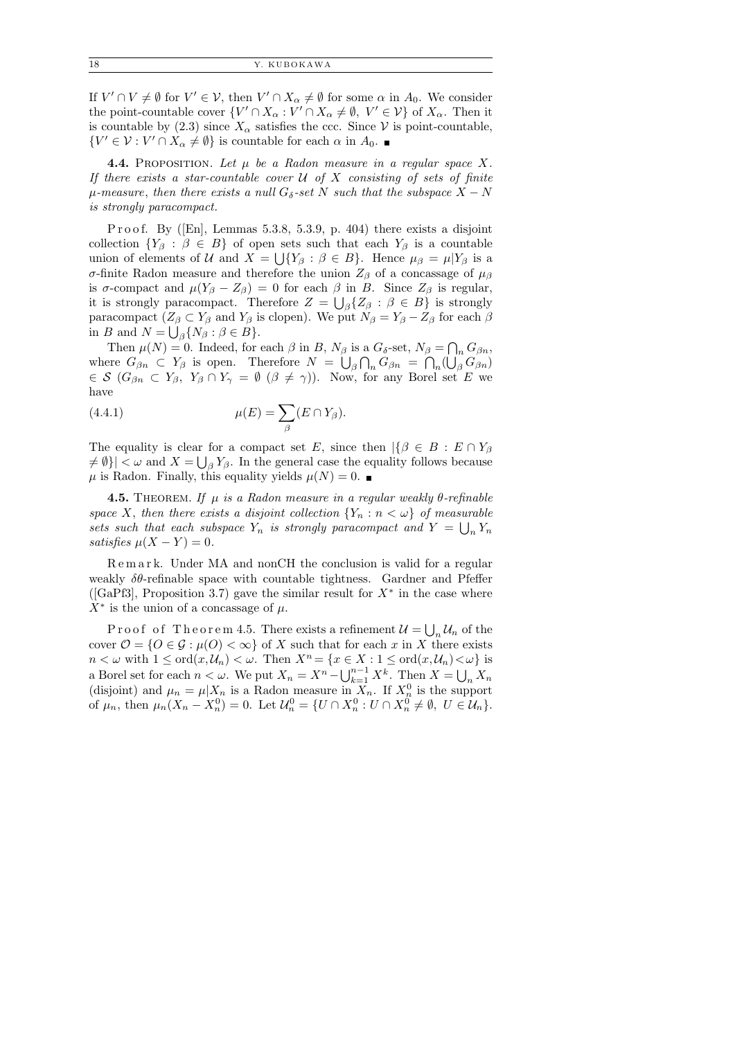If  $V' \cap V \neq \emptyset$  for  $V' \in V$ , then  $V' \cap X_{\alpha} \neq \emptyset$  for some  $\alpha$  in  $A_0$ . We consider the point-countable cover  $\{V' \cap X_\alpha : V' \cap X_\alpha \neq \emptyset, V' \in \mathcal{V}\}\$  of  $X_\alpha$ . Then it is countable by (2.3) since  $X_{\alpha}$  satisfies the ccc. Since V is point-countable,  $\{V' \in \mathcal{V} : V' \cap X_\alpha \neq \emptyset\}$  is countable for each  $\alpha$  in  $A_0$ .

**4.4.** PROPOSITION. Let  $\mu$  be a Radon measure in a regular space X. If there exists a star-countable cover  $U$  of  $X$  consisting of sets of finite  $\mu$ -measure, then there exists a null G<sub>δ</sub>-set N such that the subspace  $X - N$ is strongly paracompact.

P r o o f. By ([En], Lemmas 5.3.8, 5.3.9, p. 404) there exists a disjoint collection  ${Y_\beta : \beta \in B}$  of open sets such that each  $Y_\beta$  is a countable union of elements of U and  $X = \bigcup \{ Y_\beta : \beta \in B \}$ . Hence  $\mu_\beta = \mu | Y_\beta$  is a σ-finite Radon measure and therefore the union  $Z_\beta$  of a concassage of  $\mu_\beta$ is  $\sigma$ -compact and  $\mu(Y_{\beta} - Z_{\beta}) = 0$  for each  $\beta$  in B. Since  $Z_{\beta}$  is regular, it is strongly paracompact. Therefore  $Z = \bigcup_{\beta} \{Z_{\beta} : \beta \in B\}$  is strongly paracompact  $(Z_\beta \subset Y_\beta$  and  $Y_\beta$  is clopen). We put  $N_\beta = Y_\beta - Z_\beta$  for each  $\beta$ in B and  $N = \bigcup_{\beta} \{ N_{\beta} : \beta \in B \}.$ 

Then  $\mu(N) = 0$ . Indeed, for each  $\beta$  in B,  $N_{\beta}$  is a  $G_{\delta}$ -set,  $N_{\beta} = \bigcap_n G_{\beta n}$ , where  $G_{\beta n} \subset Y_{\beta}$  is open. Therefore  $N = \bigcup_{\beta} \bigcap_n G_{\beta n} = \bigcap_n (\bigcup_{\beta} G_{\beta n})$  $\in \mathcal{S}$   $(G_{\beta n} \subset Y_{\beta}, Y_{\beta} \cap Y_{\gamma} = \emptyset \ (\beta \neq \gamma)).$  Now, for any Borel set E we have

(4.4.1) 
$$
\mu(E) = \sum_{\beta} (E \cap Y_{\beta}).
$$

The equality is clear for a compact set E, since then  $\left|\{\beta \in B : E \cap Y_{\beta}\}\right|$  $\neq \emptyset$ }  $|<\omega$  and  $X=\bigcup_{\beta} Y_{\beta}$ . In the general case the equality follows because  $\mu$  is Radon. Finally, this equality yields  $\mu(N) = 0$ .

**4.5.** THEOREM. If  $\mu$  is a Radon measure in a regular weakly  $\theta$ -refinable space X, then there exists a disjoint collection  $\{Y_n : n < \omega\}$  of measurable sets such that each subspace  $Y_n$  is strongly paracompact and  $Y = \bigcup_n Y_n$ satisfies  $\mu(X - Y) = 0$ .

Remark. Under MA and nonCH the conclusion is valid for a regular weakly  $\delta\theta$ -refinable space with countable tightness. Gardner and Pfeffer ([GaPf3], Proposition 3.7) gave the similar result for  $X^*$  in the case where  $X^*$  is the union of a concassage of  $\mu$ .

Proof of Theorem 4.5. There exists a refinement  $\mathcal{U} = \bigcup_n \mathcal{U}_n$  of the cover  $\mathcal{O} = \{O \in \mathcal{G} : \mu(O) < \infty\}$  of X such that for each x in X there exists  $n < \omega$  with  $1 \leq \text{ord}(x, \mathcal{U}_n) < \omega$ . Then  $X^n = \{x \in X : 1 \leq \text{ord}(x, \mathcal{U}_n) < \omega\}$  is a Borel set for each  $n < \omega$ . We put  $X_n = X^n - \bigcup_{k=1}^{n-1} X^k$ . Then  $X = \bigcup_n X_n$ (disjoint) and  $\mu_n = \mu | X_n$  is a Radon measure in  $X_n$ . If  $X_n^0$  is the support of  $\mu_n$ , then  $\mu_n(X_n - X_n^0) = 0$ . Let  $\mathcal{U}_n^0 = \{ U \cap X_n^0 : U \cap X_n^0 \neq \emptyset, U \in \mathcal{U}_n \}.$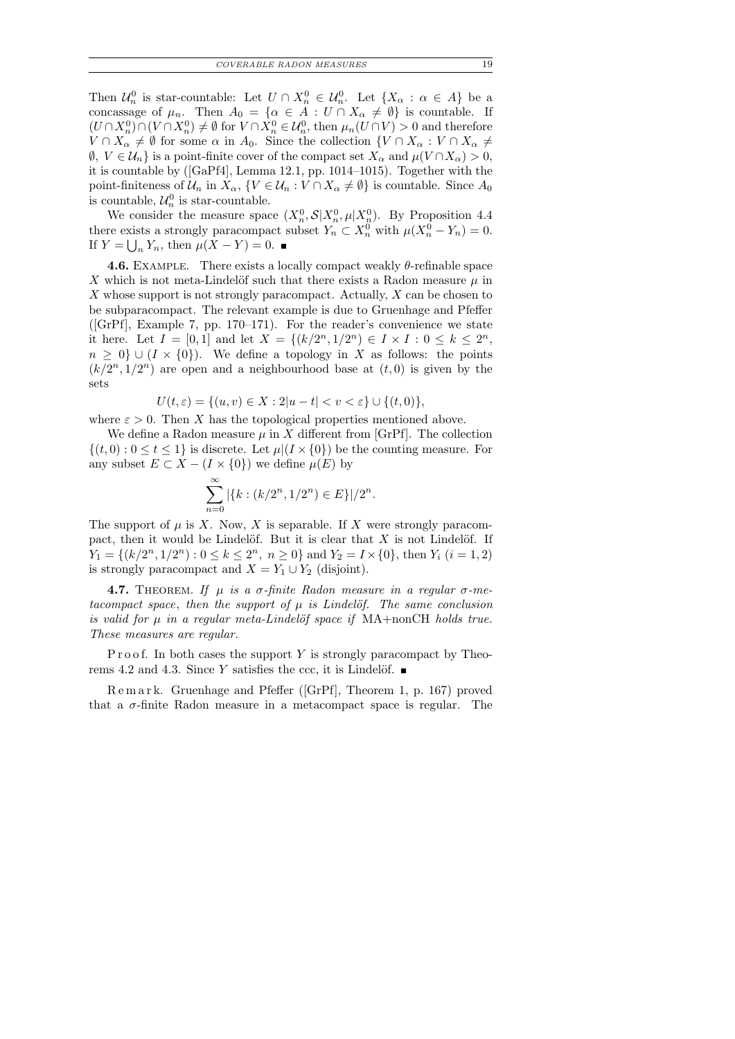Then  $\mathcal{U}_n^0$  is star-countable: Let  $U \cap X_n^0 \in \mathcal{U}_n^0$ . Let  $\{X_\alpha : \alpha \in A\}$  be a concassage of  $\mu_n$ . Then  $A_0 = \{ \alpha \in A : U \cap X_\alpha \neq \emptyset \}$  is countable. If  $(U \cap X_n^0) \cap (V \cap X_n^0) \neq \emptyset$  for  $V \cap X_n^0 \in \mathcal{U}_n^0$ , then  $\mu_n(U \cap V) > 0$  and therefore  $V \cap X_\alpha \neq \emptyset$  for some  $\alpha$  in  $A_0$ . Since the collection  $\{V \cap X_\alpha : V \cap X_\alpha \neq \emptyset\}$  $\emptyset, V \in \mathcal{U}_n$  is a point-finite cover of the compact set  $X_\alpha$  and  $\mu(V \cap X_\alpha) > 0$ , it is countable by ([GaPf4], Lemma 12.1, pp. 1014–1015). Together with the point-finiteness of  $\mathcal{U}_n$  in  $X_\alpha$ ,  $\{V \in \mathcal{U}_n : V \cap X_\alpha \neq \emptyset\}$  is countable. Since  $A_0$ is countable,  $\mathcal{U}_n^0$  is star-countable.

We consider the measure space  $(X_n^0, \mathcal{S}|X_n^0, \mu|X_n^0)$ . By Proposition 4.4 there exists a strongly paracompact subset  $Y_n \subset X_n^0$  with  $\mu(X_n^0 - Y_n) = 0$ . If  $Y = \bigcup_n Y_n$ , then  $\mu(X - Y) = 0$ .

**4.6.** EXAMPLE. There exists a locally compact weakly  $\theta$ -refinable space X which is not meta-Lindelöf such that there exists a Radon measure  $\mu$  in  $X$  whose support is not strongly paracompact. Actually,  $X$  can be chosen to be subparacompact. The relevant example is due to Gruenhage and Pfeffer ( $[GrPf]$ , Example 7, pp. 170–171). For the reader's convenience we state it here. Let  $I = [0,1]$  and let  $X = \{(k/2^n, 1/2^n) \in I \times I : 0 \leq k \leq 2^n,$  $n \geq 0$  ∪ ( $I \times \{0\}$ ). We define a topology in X as follows: the points  $(k/2<sup>n</sup>, 1/2<sup>n</sup>)$  are open and a neighbourhood base at  $(t, 0)$  is given by the sets

$$
U(t,\varepsilon) = \{(u,v) \in X : 2|u-t| < v < \varepsilon\} \cup \{(t,0)\},\
$$

where  $\varepsilon > 0$ . Then X has the topological properties mentioned above.

We define a Radon measure  $\mu$  in X different from [GrPf]. The collection  $\{(t, 0): 0 \le t \le 1\}$  is discrete. Let  $\mu | (I \times \{0\})$  be the counting measure. For any subset  $E \subset X - (I \times \{0\})$  we define  $\mu(E)$  by

$$
\sum_{n=0}^{\infty} |\{k : (k/2^n, 1/2^n) \in E\}|/2^n.
$$

The support of  $\mu$  is X. Now, X is separable. If X were strongly paracompact, then it would be Lindelöf. But it is clear that  $X$  is not Lindelöf. If  $Y_1 = \{(k/2^n, 1/2^n) : 0 \le k \le 2^n, n \ge 0\}$  and  $Y_2 = I \times \{0\}$ , then  $Y_i$   $(i = 1, 2)$ is strongly paracompact and  $X = Y_1 \cup Y_2$  (disjoint).

**4.7.** THEOREM. If  $\mu$  is a  $\sigma$ -finite Radon measure in a regular  $\sigma$ -metacompact space, then the support of  $\mu$  is Lindelöf. The same conclusion is valid for  $\mu$  in a regular meta-Lindelöf space if MA+nonCH holds true. These measures are regular.

P r o o f. In both cases the support  $Y$  is strongly paracompact by Theorems 4.2 and 4.3. Since Y satisfies the ccc, it is Lindelöf.  $\blacksquare$ 

R e m a r k. Gruenhage and Pfeffer ([GrPf], Theorem 1, p. 167) proved that a  $\sigma$ -finite Radon measure in a metacompact space is regular. The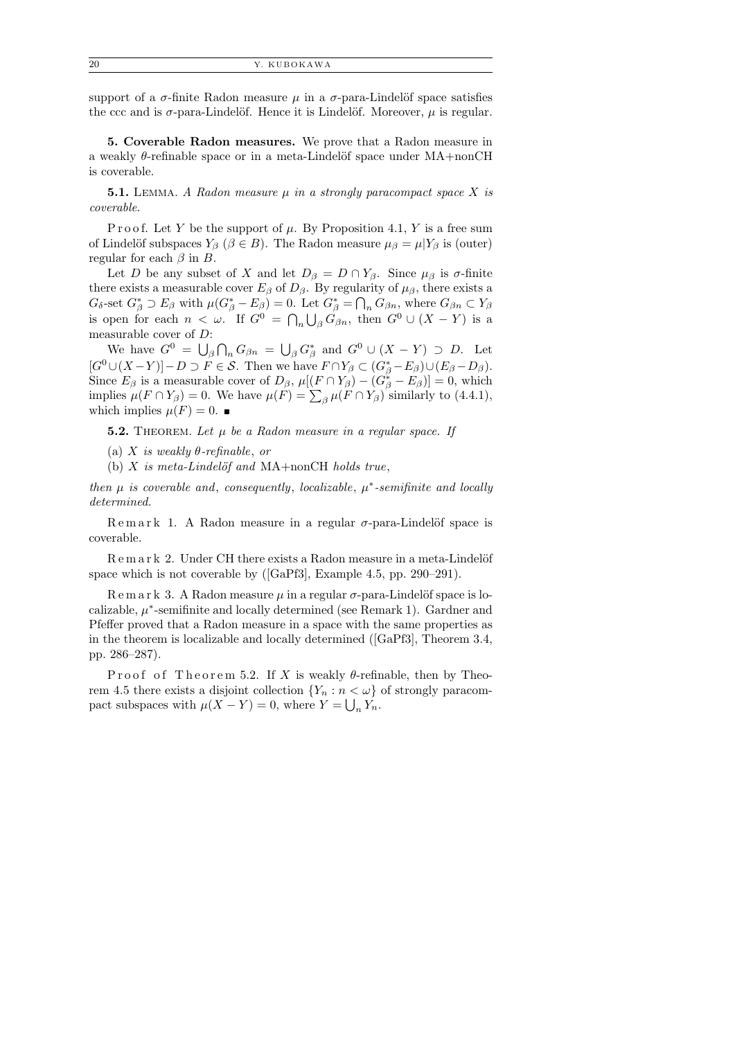support of a  $\sigma$ -finite Radon measure  $\mu$  in a  $\sigma$ -para-Lindelöf space satisfies the ccc and is  $\sigma$ -para-Lindelöf. Hence it is Lindelöf. Moreover,  $\mu$  is regular.

5. Coverable Radon measures. We prove that a Radon measure in a weakly  $\theta$ -refinable space or in a meta-Lindelöf space under MA+nonCH is coverable.

**5.1.** LEMMA. A Radon measure  $\mu$  in a strongly paracompact space X is coverable.

P r o o f. Let Y be the support of  $\mu$ . By Proposition 4.1, Y is a free sum of Lindelöf subspaces  $Y_\beta$  ( $\beta \in B$ ). The Radon measure  $\mu_\beta = \mu | Y_\beta$  is (outer) regular for each  $\beta$  in B.

Let D be any subset of X and let  $D_\beta = D \cap Y_\beta$ . Since  $\mu_\beta$  is  $\sigma$ -finite there exists a measurable cover  $E_\beta$  of  $D_\beta$ . By regularity of  $\mu_\beta$ , there exists a  $G_{\delta}$ -set  $G_{\beta}^* \supset E_{\beta}$  with  $\mu(G_{\beta}^* - E_{\beta}) = 0$ . Let  $G_{\beta}^* = \bigcap_n G_{\beta n}$ , where  $G_{\beta n} \subset Y_{\beta}$ is open for each  $n < \omega$ . If  $G^0 = \bigcap_n \bigcup_{\beta} G_{\beta n}$ , then  $G^0 \cup (X - Y)$  is a measurable cover of D:

We have  $G^0 = \bigcup_{\beta} \bigcap_n G_{\beta n} = \bigcup_{\beta} G_{\beta}^*$  and  $G^0 \cup (X - Y) \supset D$ . Let  $[G^0\cup (X-Y)] - D \supset F \in \mathcal{S}$ . Then we have  $F \cap Y_\beta \subset (G^*_\beta - E_\beta) \cup (E_\beta - D_\beta)$ . Since  $E_{\beta}$  is a measurable cover of  $D_{\beta}$ ,  $\mu[(F \cap Y_{\beta}) - (G_{\beta}^* - E_{\beta})] = 0$ , which implies  $\mu(F \cap Y_\beta) = 0$ . We have  $\mu(F) = \sum_{\beta} \mu(F \cap Y_\beta)$  similarly to (4.4.1), which implies  $\mu(F) = 0$ .

**5.2.** THEOREM. Let  $\mu$  be a Radon measure in a regular space. If

(a) X is weakly  $\theta$ -refinable, or

(b)  $X$  is meta-Lindelöf and MA+nonCH holds true,

then  $\mu$  is coverable and, consequently, localizable,  $\mu^*$ -semifinite and locally determined.

Remark 1. A Radon measure in a regular  $\sigma$ -para-Lindelöf space is coverable.

R e m a r k 2. Under CH there exists a Radon measure in a meta-Lindelöf space which is not coverable by ([GaPf3], Example 4.5, pp. 290–291).

R e m a r k 3. A Radon measure  $\mu$  in a regular  $\sigma$ -para-Lindelöf space is localizable,  $\mu^*$ -semifinite and locally determined (see Remark 1). Gardner and Pfeffer proved that a Radon measure in a space with the same properties as in the theorem is localizable and locally determined ([GaPf3], Theorem 3.4, pp. 286–287).

Proof of Theorem 5.2. If X is weakly  $\theta$ -refinable, then by Theorem 4.5 there exists a disjoint collection  $\{Y_n : n < \omega\}$  of strongly paracompact subspaces with  $\mu(X - Y) = 0$ , where  $Y = \bigcup_n Y_n$ .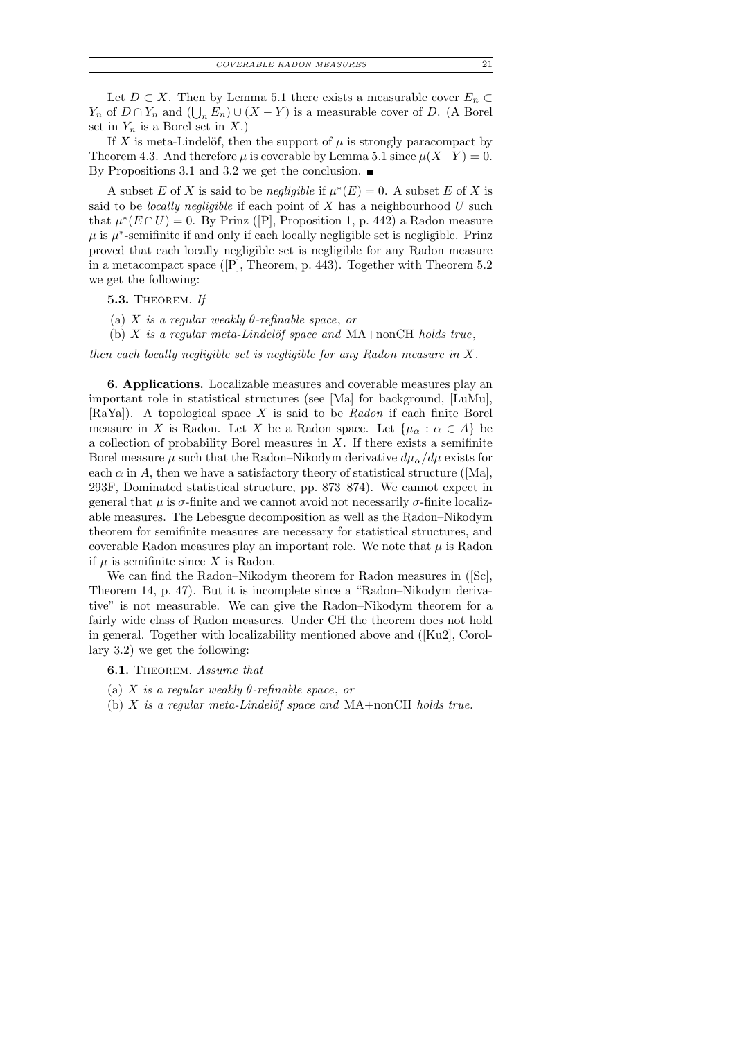Let  $D \subset X$ . Then by Lemma 5.1 there exists a measurable cover  $E_n \subset$  $Y_n$  of  $D \cap Y_n$  and  $(\bigcup_n E_n) \cup (X - Y)$  is a measurable cover of D. (A Borel set in  $Y_n$  is a Borel set in X.)

If X is meta-Lindelöf, then the support of  $\mu$  is strongly paracompact by Theorem 4.3. And therefore  $\mu$  is coverable by Lemma 5.1 since  $\mu(X-Y) = 0$ . By Propositions 3.1 and 3.2 we get the conclusion.  $\blacksquare$ 

A subset E of X is said to be *negligible* if  $\mu^*(E) = 0$ . A subset E of X is said to be *locally negligible* if each point of  $X$  has a neighbourhood  $U$  such that  $\mu^*(E \cap U) = 0$ . By Prinz ([P], Proposition 1, p. 442) a Radon measure  $\mu$  is  $\mu^*$ -semifinite if and only if each locally negligible set is negligible. Prinz proved that each locally negligible set is negligible for any Radon measure in a metacompact space ([P], Theorem, p. 443). Together with Theorem 5.2 we get the following:

**5.3.** THEOREM. If

(a) X is a regular weakly  $\theta$ -refinable space, or

(b) X is a regular meta-Lindelöf space and MA+nonCH holds true,

then each locally negligible set is negligible for any Radon measure in X.

6. Applications. Localizable measures and coverable measures play an important role in statistical structures (see [Ma] for background, [LuMu], [RaYa]). A topological space X is said to be Radon if each finite Borel measure in X is Radon. Let X be a Radon space. Let  $\{\mu_{\alpha} : \alpha \in A\}$  be a collection of probability Borel measures in  $X$ . If there exists a semifinite Borel measure  $\mu$  such that the Radon–Nikodym derivative  $d\mu_{\alpha}/d\mu$  exists for each  $\alpha$  in A, then we have a satisfactory theory of statistical structure ([Ma], 293F, Dominated statistical structure, pp. 873–874). We cannot expect in general that  $\mu$  is  $\sigma$ -finite and we cannot avoid not necessarily  $\sigma$ -finite localizable measures. The Lebesgue decomposition as well as the Radon–Nikodym theorem for semifinite measures are necessary for statistical structures, and coverable Radon measures play an important role. We note that  $\mu$  is Radon if  $\mu$  is semifinite since X is Radon.

We can find the Radon–Nikodym theorem for Radon measures in ([Sc], Theorem 14, p. 47). But it is incomplete since a "Radon–Nikodym derivative" is not measurable. We can give the Radon–Nikodym theorem for a fairly wide class of Radon measures. Under CH the theorem does not hold in general. Together with localizability mentioned above and  $([Ku2], Corol$ lary 3.2) we get the following:

**6.1.** THEOREM. Assume that

(a) X is a regular weakly  $\theta$ -refinable space, or

(b) X is a regular meta-Lindelöf space and MA+nonCH holds true.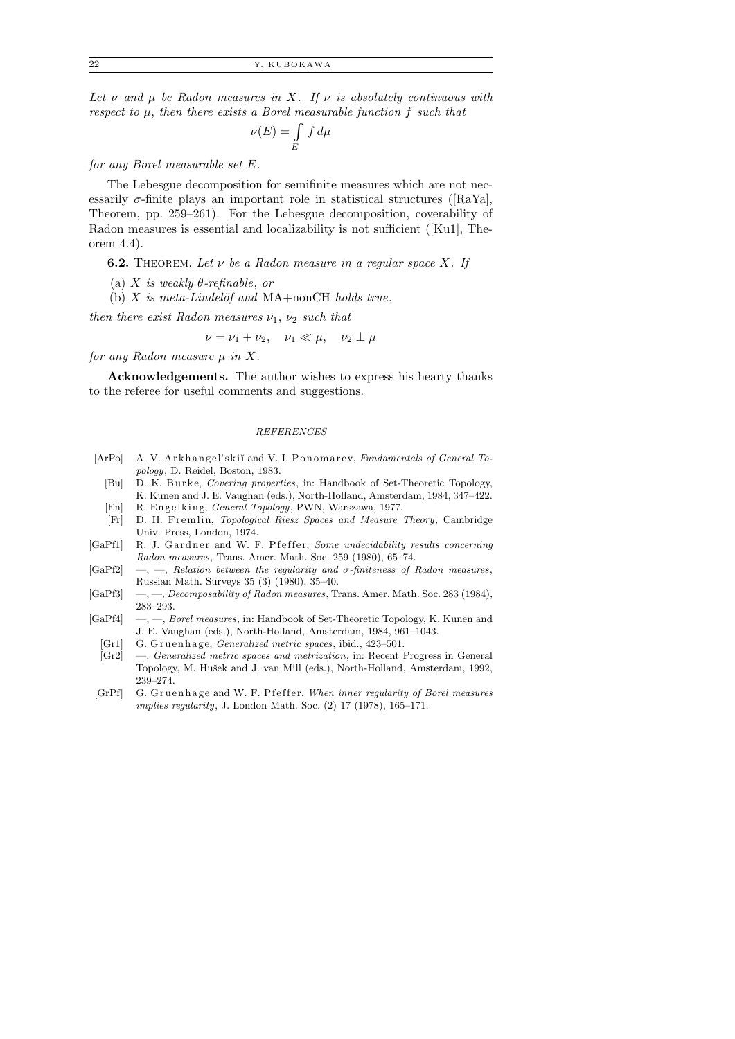Let  $\nu$  and  $\mu$  be Radon measures in X. If  $\nu$  is absolutely continuous with respect to  $\mu$ , then there exists a Borel measurable function f such that

$$
\nu(E) = \int\limits_E f \, d\mu
$$

for any Borel measurable set E.

The Lebesgue decomposition for semifinite measures which are not necessarily  $\sigma$ -finite plays an important role in statistical structures ([RaYa], Theorem, pp. 259–261). For the Lebesgue decomposition, coverability of Radon measures is essential and localizability is not sufficient ([Ku1], Theorem 4.4).

**6.2.** THEOREM. Let  $\nu$  be a Radon measure in a regular space X. If

- (a) X is weakly  $\theta$ -refinable, or
- (b)  $X$  is meta-Lindelöf and MA+nonCH holds true,

then there exist Radon measures  $\nu_1$ ,  $\nu_2$  such that

$$
\nu = \nu_1 + \nu_2, \quad \nu_1 \ll \mu, \quad \nu_2 \perp \mu
$$

for any Radon measure  $\mu$  in X.

Acknowledgements. The author wishes to express his hearty thanks to the referee for useful comments and suggestions.

#### *REFERENCES*

- [ArPo] A. V. Arkhangel'skiĭ and V. I. Ponomarev, *Fundamentals of General Topology*, D. Reidel, Boston, 1983.
	- [Bu] D. K. Burke, *Covering properties*, in: Handbook of Set-Theoretic Topology, K. Kunen and J. E. Vaughan (eds.), North-Holland, Amsterdam, 1984, 347–422.
- [En] R. Engelking, *General Topology*, PWN, Warszawa, 1977.
- [Fr] D. H. Fremlin, *Topological Riesz Spaces and Measure Theory*, Cambridge Univ. Press, London, 1974.
- [GaPf1] R. J. Gardner and W. F. P f effer, *Some undecidability results concerning Radon measures*, Trans. Amer. Math. Soc. 259 (1980), 65–74.
- [GaPf2] —, —, *Relation between the regularity and σ-finiteness of Radon measures*, Russian Math. Surveys 35 (3) (1980), 35–40.
- [GaPf3] —, —, *Decomposability of Radon measures*, Trans. Amer. Math. Soc. 283 (1984), 283–293.
- [GaPf4] —, —, *Borel measures*, in: Handbook of Set-Theoretic Topology, K. Kunen and J. E. Vaughan (eds.), North-Holland, Amsterdam, 1984, 961–1043.
	- [Gr1] G. Gruenhage, *Generalized metric spaces*, ibid., 423-501.
	- [Gr2] —, *Generalized metric spaces and metrization*, in: Recent Progress in General Topology, M. Hušek and J. van Mill (eds.), North-Holland, Amsterdam, 1992, 239–274.
- [GrPf] G. Gruenhage and W. F. P feffer, *When inner regularity of Borel measures implies regularity*, J. London Math. Soc. (2) 17 (1978), 165–171.